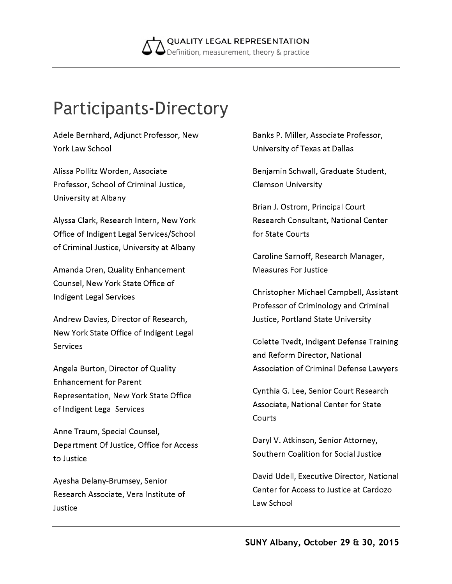

## **Participants-Directory**

Adele Bernhard, Adjunct Professor, New York Law School

Alissa Pollitz Worden, Associate Professor, School of Criminal Justice, University at Albany

Alyssa Clark, Research Intern, New York Office of Indigent Legal Services/School of Criminal Justice, University at Albany

Amanda Oren, Quality Enhancement Counsel, New York State Office of Indigent Legal Services

Andrew Davies, Director of Research, New York State Office of Indigent Legal **Services** 

Angela Burton, Director of Quality Enhancement for Parent Representation, New York State Office of Indigent Legal Services

Anne Traum, Special Counsel, Department Of Justice, Office for Access to Justice

Ayesha Delany-Brumsey, Senior Research Associate, Vera Institute of Justice

Banks P. Miller, Associate Professor, University of Texas at Dallas

Benjamin Schwall, Graduate Student, Clemson University

Brian J. Ostrom, Principal Court Research Consultant, National Center for State Courts

Caroline Sarnoff, Research Manager, Measures For Justice

Christopher Michael Campbell, Assistant Professor of Criminology and Criminal Justice, Portland State University

Colette Tvedt, Indigent Defense Training and Reform Director, National Association of Criminal Defense Lawyers

Cynthia G. Lee, Senior Court Research Associate, National Center for State Courts

Daryl V. Atkinson, Senior Attorney, Southern Coalition for Social Justice

David Udell, Executive Director, National Center for Access to Justice at Cardozo Law School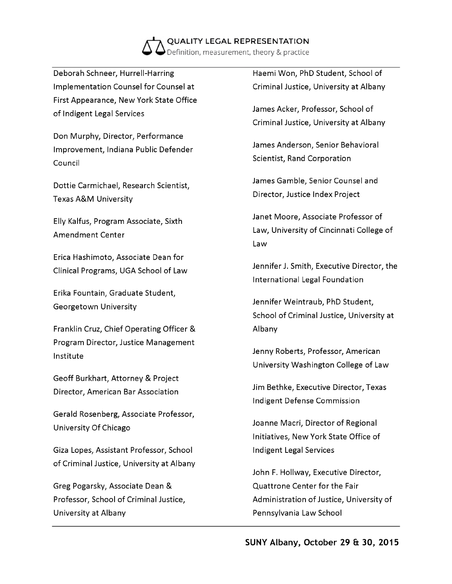

Deborah Schneer, Hurrell-Harring Implementation Counsel for Counsel at First Appearance, New York State Office of Indigent Legal Services

Don Murphy, Director, Performance Improvement, Indiana Public Defender Council

Dottie Carmichael, Research Scientist, Texas A&M University

Elly Kalfus, Program Associate, Sixth Amendment Center

Erica Hashimoto, Associate Dean for Clinical Programs, UGA School of Law

Erika Fountain, Graduate Student, Georgetown University

Franklin Cruz, Chief Operating Officer & Program Director, Justice Management Institute

Geoff Burkhart, Attorney & Project Director, American Bar Association

Gerald Rosenberg, Associate Professor, University Of Chicago

Giza Lopes, Assistant Professor, School of Criminal Justice, University at Albany

Greg Pogarsky, Associate Dean & Professor, School of Criminal Justice, University at Albany

Haemi Won, PhD Student, School of Criminal Justice, University at Albany

James Acker, Professor, School of Criminal Justice, University at Albany

James Anderson, Senior Behavioral Scientist, Rand Corporation

James Gamble, Senior Counsel and Director, Justice Index Project

Janet Moore, Associate Professor of Law, University of Cincinnati College of Law

Jennifer J. Smith, Executive Director, the International Legal Foundation

Jennifer Weintraub, PhD Student, School of Criminal Justice, University at Albany

Jenny Roberts, Professor, American University Washington College of Law

Jim Bethke, Executive Director, Texas Indigent Defense Commission

Joanne Macri, Director of Regional Initiatives, New York State Office of Indigent Legal Services

John F. Hollway, Executive Director, Quattrone Center for the Fair Administration of Justice, University of Pennsylvania Law School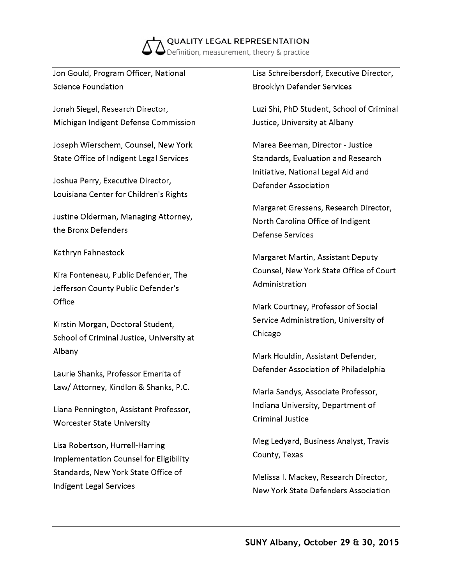

Jon Gould, Program Officer, National Science Foundation

Jonah Siegel, Research Director, Michigan Indigent Defense Commission

Joseph Wierschem, Counsel, New York State Office of Indigent Legal Services

Joshua Perry, Executive Director, Louisiana Center for Children's Rights

Justine Olderman, Managing Attorney, the Bronx Defenders

Kathryn Fahnestock

Kira Fonteneau, Public Defender, The Jefferson County Public Defender's **Office** 

Kirstin Morgan, Doctoral Student, School of Criminal Justice, University at Albany

Laurie Shanks, Professor Emerita of Law/ Attorney, Kindlon & Shanks, P.C.

Liana Pennington, Assistant Professor, Worcester State University

Lisa Robertson, Hurrell-Harring Implementation Counsel for Eligibility Standards, New York State Office of Indigent Legal Services

Lisa Schreibersdorf, Executive Director, Brooklyn Defender Services

Luzi Shi, PhD Student, School of Criminal Justice, University at Albany

Marea Beeman, Director - Justice Standards, Evaluation and Research Initiative, National Legal Aid and Defender Association

Margaret Gressens, Research Director, North Carolina Office of Indigent Defense Services

Margaret Martin, Assistant Deputy Counsel, New York State Office of Court Administration

Mark Courtney, Professor of Social Service Administration, University of Chicago

Mark Houldin, Assistant Defender, Defender Association of Philadelphia

Marla Sandys, Associate Professor, Indiana University, Department of Criminal Justice

Meg Ledyard, Business Analyst, Travis County, Texas

Melissa I. Mackey, Research Director, New York State Defenders Association